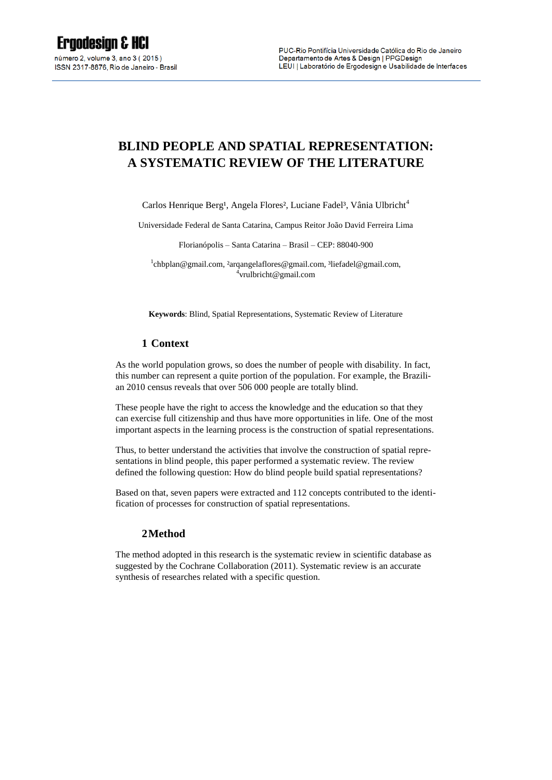# **BLIND PEOPLE AND SPATIAL REPRESENTATION: A SYSTEMATIC REVIEW OF THE LITERATURE**

Carlos Henrique Berg<sup>1</sup>, Angela Flores<sup>2</sup>, Luciane Fadel<sup>3</sup>, Vânia Ulbricht<sup>4</sup>

Universidade Federal de Santa Catarina, Campus Reitor João David Ferreira Lima

Florianópolis – Santa Catarina – Brasil – CEP: 88040-900

<sup>1</sup>[chbplan@gmail.com,](mailto:chbplan@gmail.com) <sup>2</sup>arqangelaflores@gmail.com, <sup>3</sup>liefadel@gmail.com, 4 vrulbricht@gmail.com

**Keywords**: Blind, Spatial Representations, Systematic Review of Literature

# **1 Context**

As the world population grows, so does the number of people with disability. In fact, this number can represent a quite portion of the population. For example, the Brazilian 2010 census reveals that over 506 000 people are totally blind.

These people have the right to access the knowledge and the education so that they can exercise full citizenship and thus have more opportunities in life. One of the most important aspects in the learning process is the construction of spatial representations.

Thus, to better understand the activities that involve the construction of spatial representations in blind people, this paper performed a systematic review. The review defined the following question: How do blind people build spatial representations?

Based on that, seven papers were extracted and 112 concepts contributed to the identification of processes for construction of spatial representations.

#### **2Method**

The method adopted in this research is the systematic review in scientific database as suggested by the Cochrane Collaboration (2011). Systematic review is an accurate synthesis of researches related with a specific question.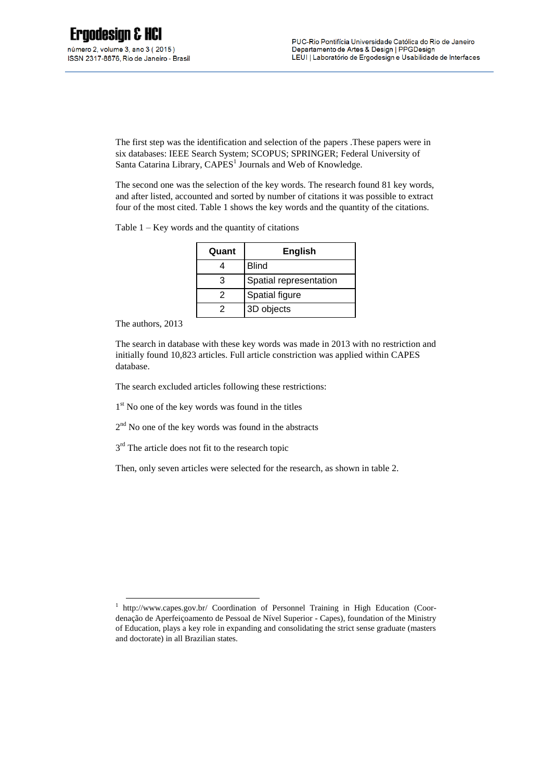The first step was the identification and selection of the papers .These papers were in six databases: IEEE Search System; SCOPUS; SPRINGER; Federal University of Santa Catarina Library, CAPES<sup>1</sup> Journals and Web of Knowledge.

The second one was the selection of the key words. The research found 81 key words, and after listed, accounted and sorted by number of citations it was possible to extract four of the most cited. Table 1 shows the key words and the quantity of the citations.

Table 1 – Key words and the quantity of citations

| Quant | <b>English</b>         |
|-------|------------------------|
|       | <b>Blind</b>           |
|       | Spatial representation |
| 2     | Spatial figure         |
|       | 3D objects             |

The authors, 2013

-

The search in database with these key words was made in 2013 with no restriction and initially found 10,823 articles. Full article constriction was applied within CAPES database.

The search excluded articles following these restrictions:

1<sup>st</sup> No one of the key words was found in the titles

2<sup>nd</sup> No one of the key words was found in the abstracts

3<sup>rd</sup> The article does not fit to the research topic

Then, only seven articles were selected for the research, as shown in table 2.

<sup>&</sup>lt;sup>1</sup> <http://www.capes.gov.br/> Coordination of Personnel Training in High Education (Coordenação de Aperfeiçoamento de Pessoal de Nível Superior - Capes), foundation of the Ministry of Education, plays a key role in expanding and consolidating the strict sense graduate (masters and doctorate) in all Brazilian states.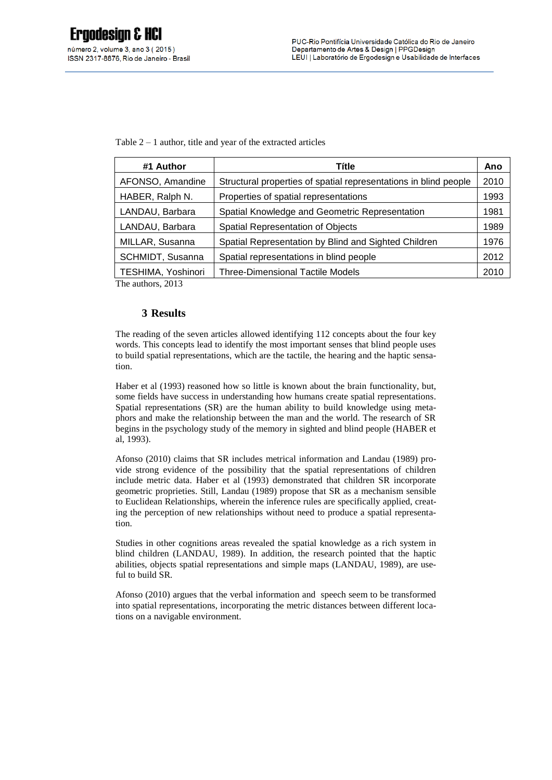Table  $2 - 1$  author, title and year of the extracted articles

| #1 Author          | <b>Títle</b>                                                     | Ano  |
|--------------------|------------------------------------------------------------------|------|
| AFONSO, Amandine   | Structural properties of spatial representations in blind people | 2010 |
| HABER, Ralph N.    | Properties of spatial representations                            | 1993 |
| LANDAU, Barbara    | Spatial Knowledge and Geometric Representation                   | 1981 |
| LANDAU, Barbara    | Spatial Representation of Objects                                | 1989 |
| MILLAR, Susanna    | Spatial Representation by Blind and Sighted Children             | 1976 |
| SCHMIDT, Susanna   | Spatial representations in blind people                          | 2012 |
| TESHIMA, Yoshinori | Three-Dimensional Tactile Models                                 | 2010 |

The authors, 2013

# **3 Results**

The reading of the seven articles allowed identifying 112 concepts about the four key words. This concepts lead to identify the most important senses that blind people uses to build spatial representations, which are the tactile, the hearing and the haptic sensation.

Haber et al (1993) reasoned how so little is known about the brain functionality, but, some fields have success in understanding how humans create spatial representations. Spatial representations (SR) are the human ability to build knowledge using metaphors and make the relationship between the man and the world. The research of SR begins in the psychology study of the memory in sighted and blind people (HABER et al, 1993).

Afonso (2010) claims that SR includes metrical information and Landau (1989) provide strong evidence of the possibility that the spatial representations of children include metric data. Haber et al (1993) demonstrated that children SR incorporate geometric proprieties. Still, Landau (1989) propose that SR as a mechanism sensible to Euclidean Relationships, wherein the inference rules are specifically applied, creating the perception of new relationships without need to produce a spatial representation.

Studies in other cognitions areas revealed the spatial knowledge as a rich system in blind children (LANDAU, 1989). In addition, the research pointed that the haptic abilities, objects spatial representations and simple maps (LANDAU, 1989), are useful to build SR.

Afonso (2010) argues that the verbal information and speech seem to be transformed into spatial representations, incorporating the metric distances between different locations on a navigable environment.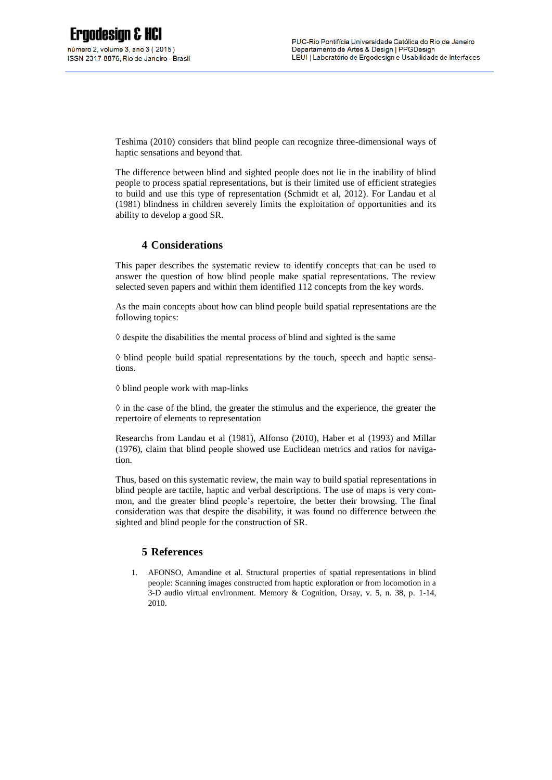Teshima (2010) considers that blind people can recognize three-dimensional ways of haptic sensations and beyond that.

The difference between blind and sighted people does not lie in the inability of blind people to process spatial representations, but is their limited use of efficient strategies to build and use this type of representation (Schmidt et al, 2012). For Landau et al (1981) blindness in children severely limits the exploitation of opportunities and its ability to develop a good SR.

# **4 Considerations**

This paper describes the systematic review to identify concepts that can be used to answer the question of how blind people make spatial representations. The review selected seven papers and within them identified 112 concepts from the key words.

As the main concepts about how can blind people build spatial representations are the following topics:

 $\Diamond$  despite the disabilities the mental process of blind and sighted is the same

 $\Diamond$  blind people build spatial representations by the touch, speech and haptic sensations.

◊ blind people work with map-links

 $\Diamond$  in the case of the blind, the greater the stimulus and the experience, the greater the repertoire of elements to representation

Researchs from Landau et al (1981), Alfonso (2010), Haber et al (1993) and Millar (1976), claim that blind people showed use Euclidean metrics and ratios for navigation.

Thus, based on this systematic review, the main way to build spatial representations in blind people are tactile, haptic and verbal descriptions. The use of maps is very common, and the greater blind people's repertoire, the better their browsing. The final consideration was that despite the disability, it was found no difference between the sighted and blind people for the construction of SR.

# **5 References**

1. AFONSO, Amandine et al. Structural properties of spatial representations in blind people: Scanning images constructed from haptic exploration or from locomotion in a 3-D audio virtual environment. Memory & Cognition, Orsay, v. 5, n. 38, p. 1-14, 2010.